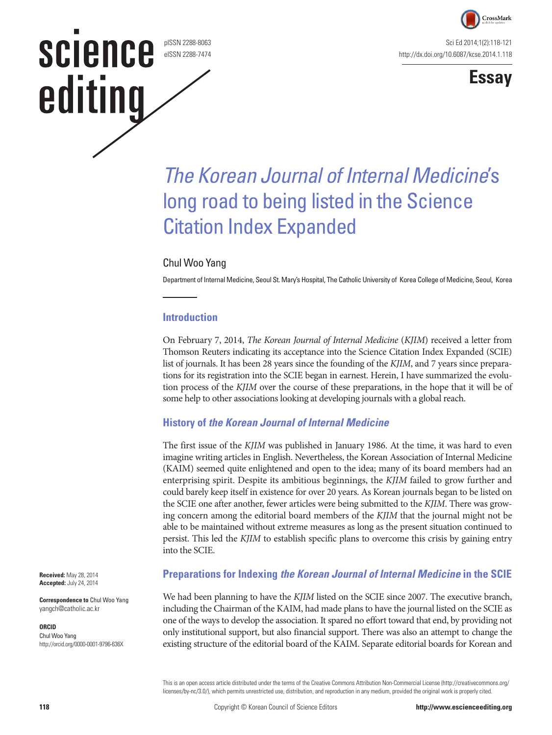

Sci Ed 2014;1(2):118-121 http://dx.doi.org/10.6087/kcse.2014.1.118



## *The Korean Journal of Internal Medicine*'s long road to being listed in the Science Citation Index Expanded

#### Chul Woo Yang

pISSN 2288-8063 eISSN 2288-7474

science

editing

Department of Internal Medicine, Seoul St. Mary's Hospital, The Catholic University of Korea College of Medicine, Seoul, Korea

#### **Introduction**

On February 7, 2014, *The Korean Journal of Internal Medicine* (*KJIM*) received a letter from Thomson Reuters indicating its acceptance into the Science Citation Index Expanded (SCIE) list of journals. It has been 28 years since the founding of the *KJIM*, and 7 years since preparations for its registration into the SCIE began in earnest. Herein, I have summarized the evolution process of the *KJIM* over the course of these preparations, in the hope that it will be of some help to other associations looking at developing journals with a global reach.

#### **History of** *the Korean Journal of Internal Medicine*

The first issue of the *KJIM* was published in January 1986. At the time, it was hard to even imagine writing articles in English. Nevertheless, the Korean Association of Internal Medicine (KAIM) seemed quite enlightened and open to the idea; many of its board members had an enterprising spirit. Despite its ambitious beginnings, the *KJIM* failed to grow further and could barely keep itself in existence for over 20 years. As Korean journals began to be listed on the SCIE one after another, fewer articles were being submitted to the *KJIM*. There was growing concern among the editorial board members of the *KJIM* that the journal might not be able to be maintained without extreme measures as long as the present situation continued to persist. This led the *KJIM* to establish specific plans to overcome this crisis by gaining entry into the SCIE.

**Preparations for Indexing** *the Korean Journal of Internal Medicine* **in the SCIE**

We had been planning to have the *KJIM* listed on the SCIE since 2007. The executive branch, including the Chairman of the KAIM, had made plans to have the journal listed on the SCIE as one of the ways to develop the association. It spared no effort toward that end, by providing not only institutional support, but also financial support. There was also an attempt to change the existing structure of the editorial board of the KAIM. Separate editorial boards for Korean and

This is an open access article distributed under the terms of the Creative Commons Attribution Non-Commercial License (http://creativecommons.org/ licenses/by-nc/3.0/), which permits unrestricted use, distribution, and reproduction in any medium, provided the original work is properly cited.

**Received:** May 28, 2014 **Accepted:** July 24, 2014

**Correspondence to** Chul Woo Yang yangch@catholic.ac.kr

#### **ORCID**

Chul Woo Yang http://orcid.org/0000-0001-9796-636X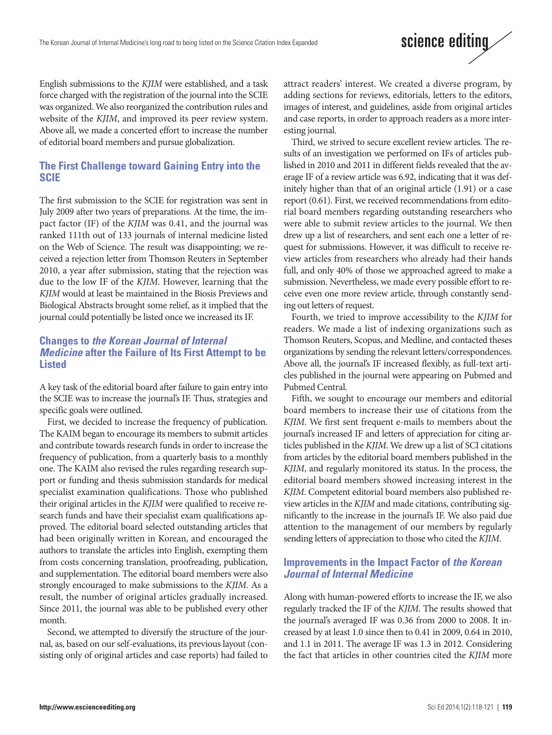English submissions to the *KJIM* were established, and a task force charged with the registration of the journal into the SCIE was organized. We also reorganized the contribution rules and website of the *KJIM*, and improved its peer review system. Above all, we made a concerted effort to increase the number of editorial board members and pursue globalization.

#### **The First Challenge toward Gaining Entry into the SCIE**

The first submission to the SCIE for registration was sent in July 2009 after two years of preparations. At the time, the impact factor (IF) of the *KJIM* was 0.41, and the journal was ranked 111th out of 133 journals of internal medicine listed on the Web of Science. The result was disappointing; we received a rejection letter from Thomson Reuters in September 2010, a year after submission, stating that the rejection was due to the low IF of the *KJIM*. However, learning that the *KJIM* would at least be maintained in the Biosis Previews and Biological Abstracts brought some relief, as it implied that the journal could potentially be listed once we increased its IF.

#### **Changes to** *the Korean Journal of Internal Medicine* **after the Failure of Its First Attempt to be Listed**

A key task of the editorial board after failure to gain entry into the SCIE was to increase the journal's IF. Thus, strategies and specific goals were outlined.

First, we decided to increase the frequency of publication. The KAIM began to encourage its members to submit articles and contribute towards research funds in order to increase the frequency of publication, from a quarterly basis to a monthly one. The KAIM also revised the rules regarding research support or funding and thesis submission standards for medical specialist examination qualifications. Those who published their original articles in the *KJIM* were qualified to receive research funds and have their specialist exam qualifications approved. The editorial board selected outstanding articles that had been originally written in Korean, and encouraged the authors to translate the articles into English, exempting them from costs concerning translation, proofreading, publication, and supplementation. The editorial board members were also strongly encouraged to make submissions to the *KJIM*. As a result, the number of original articles gradually increased. Since 2011, the journal was able to be published every other month.

Second, we attempted to diversify the structure of the journal, as, based on our self-evaluations, its previous layout (consisting only of original articles and case reports) had failed to attract readers' interest. We created a diverse program, by adding sections for reviews, editorials, letters to the editors, images of interest, and guidelines, aside from original articles and case reports, in order to approach readers as a more interesting journal.

Third, we strived to secure excellent review articles. The results of an investigation we performed on IFs of articles published in 2010 and 2011 in different fields revealed that the average IF of a review article was 6.92, indicating that it was definitely higher than that of an original article (1.91) or a case report (0.61). First, we received recommendations from editorial board members regarding outstanding researchers who were able to submit review articles to the journal. We then drew up a list of researchers, and sent each one a letter of request for submissions. However, it was difficult to receive review articles from researchers who already had their hands full, and only 40% of those we approached agreed to make a submission. Nevertheless, we made every possible effort to receive even one more review article, through constantly sending out letters of request.

Fourth, we tried to improve accessibility to the *KJIM* for readers. We made a list of indexing organizations such as Thomson Reuters, Scopus, and Medline, and contacted theses organizations by sending the relevant letters/correspondences. Above all, the journal's IF increased flexibly, as full-text articles published in the journal were appearing on Pubmed and Pubmed Central.

Fifth, we sought to encourage our members and editorial board members to increase their use of citations from the *KJIM*. We first sent frequent e-mails to members about the journal's increased IF and letters of appreciation for citing articles published in the *KJIM*. We drew up a list of SCI citations from articles by the editorial board members published in the *KJIM*, and regularly monitored its status. In the process, the editorial board members showed increasing interest in the *KJIM*. Competent editorial board members also published review articles in the *KJIM* and made citations, contributing significantly to the increase in the journal's IF. We also paid due attention to the management of our members by regularly sending letters of appreciation to those who cited the *KJIM*.

#### **Improvements in the Impact Factor of** *the Korean Journal of Internal Medicine*

Along with human-powered efforts to increase the IF, we also regularly tracked the IF of the *KJIM*. The results showed that the journal's averaged IF was 0.36 from 2000 to 2008. It increased by at least 1.0 since then to 0.41 in 2009, 0.64 in 2010, and 1.1 in 2011. The average IF was 1.3 in 2012. Considering the fact that articles in other countries cited the *KJIM* more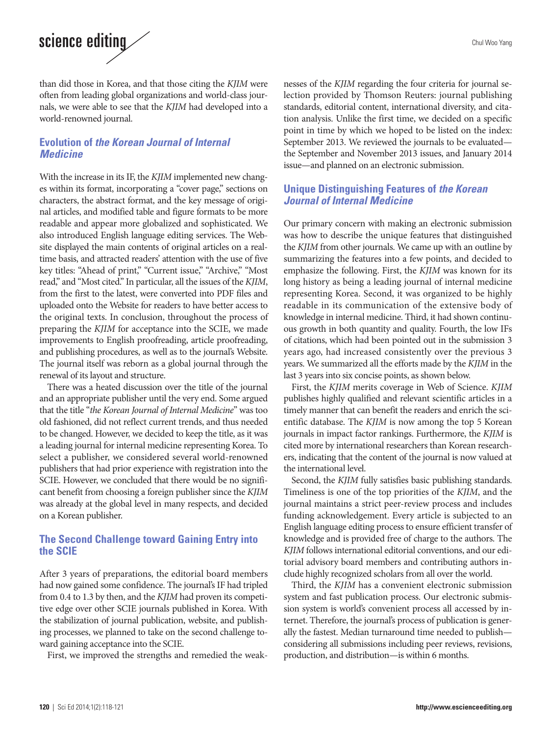# science editing

than did those in Korea, and that those citing the *KJIM* were often from leading global organizations and world-class journals, we were able to see that the *KJIM* had developed into a world-renowned journal.

#### **Evolution of** *the Korean Journal of Internal Medicine*

With the increase in its IF, the *KJIM* implemented new changes within its format, incorporating a "cover page," sections on characters, the abstract format, and the key message of original articles, and modified table and figure formats to be more readable and appear more globalized and sophisticated. We also introduced English language editing services. The Website displayed the main contents of original articles on a realtime basis, and attracted readers' attention with the use of five key titles: "Ahead of print," "Current issue," "Archive," "Most read," and "Most cited." In particular, all the issues of the *KJIM*, from the first to the latest, were converted into PDF files and uploaded onto the Website for readers to have better access to the original texts. In conclusion, throughout the process of preparing the *KJIM* for acceptance into the SCIE, we made improvements to English proofreading, article proofreading, and publishing procedures, as well as to the journal's Website. The journal itself was reborn as a global journal through the renewal of its layout and structure.

There was a heated discussion over the title of the journal and an appropriate publisher until the very end. Some argued that the title "*the Korean Journal of Internal Medicine*" was too old fashioned, did not reflect current trends, and thus needed to be changed. However, we decided to keep the title, as it was a leading journal for internal medicine representing Korea. To select a publisher, we considered several world-renowned publishers that had prior experience with registration into the SCIE. However, we concluded that there would be no significant benefit from choosing a foreign publisher since the *KJIM* was already at the global level in many respects, and decided on a Korean publisher.

#### **The Second Challenge toward Gaining Entry into the SCIE**

After 3 years of preparations, the editorial board members had now gained some confidence. The journal's IF had tripled from 0.4 to 1.3 by then, and the *KJIM* had proven its competitive edge over other SCIE journals published in Korea. With the stabilization of journal publication, website, and publishing processes, we planned to take on the second challenge toward gaining acceptance into the SCIE.

First, we improved the strengths and remedied the weak-

nesses of the *KJIM* regarding the four criteria for journal selection provided by Thomson Reuters: journal publishing standards, editorial content, international diversity, and citation analysis. Unlike the first time, we decided on a specific point in time by which we hoped to be listed on the index: September 2013. We reviewed the journals to be evaluated the September and November 2013 issues, and January 2014 issue—and planned on an electronic submission.

### **Unique Distinguishing Features of** *the Korean Journal of Internal Medicine*

Our primary concern with making an electronic submission was how to describe the unique features that distinguished the *KJIM* from other journals. We came up with an outline by summarizing the features into a few points, and decided to emphasize the following. First, the *KJIM* was known for its long history as being a leading journal of internal medicine representing Korea. Second, it was organized to be highly readable in its communication of the extensive body of knowledge in internal medicine. Third, it had shown continuous growth in both quantity and quality. Fourth, the low IFs of citations, which had been pointed out in the submission 3 years ago, had increased consistently over the previous 3 years. We summarized all the efforts made by the *KJIM* in the last 3 years into six concise points, as shown below.

First, the *KJIM* merits coverage in Web of Science. *KJIM* publishes highly qualified and relevant scientific articles in a timely manner that can benefit the readers and enrich the scientific database. The *KJIM* is now among the top 5 Korean journals in impact factor rankings. Furthermore, the *KJIM* is cited more by international researchers than Korean researchers, indicating that the content of the journal is now valued at the international level.

Second, the *KJIM* fully satisfies basic publishing standards. Timeliness is one of the top priorities of the *KJIM*, and the journal maintains a strict peer-review process and includes funding acknowledgement. Every article is subjected to an English language editing process to ensure efficient transfer of knowledge and is provided free of charge to the authors. The *KJIM* follows international editorial conventions, and our editorial advisory board members and contributing authors include highly recognized scholars from all over the world.

Third, the *KJIM* has a convenient electronic submission system and fast publication process. Our electronic submission system is world's convenient process all accessed by internet. Therefore, the journal's process of publication is generally the fastest. Median turnaround time needed to publish considering all submissions including peer reviews, revisions, production, and distribution—is within 6 months.